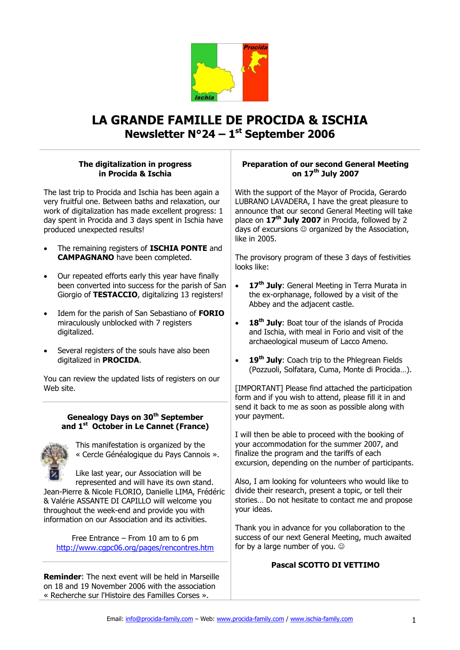

# **LA GRANDE FAMILLE DE PROCIDA & ISCHIA Newsletter N°24 – 1 st September 2006**

# **The digitalization in progress in Procida & Ischia**

The last trip to Procida and Ischia has been again a very fruitful one. Between baths and relaxation, our work of digitalization has made excellent progress: 1 day spent in Procida and 3 days spent in Ischia have produced unexpected results!

- The remaining registers of **ISCHIA PONTE** and **CAMPAGNANO** have been completed.
- Our repeated efforts early this year have finally been converted into success for the parish of San Giorgio of **TESTACCIO**, digitalizing 13 registers!
- Idem for the parish of San Sebastiano of **FORIO** miraculously unblocked with 7 registers digitalized.
- Several registers of the souls have also been digitalized in **PROCIDA**.

You can review the updated lists of registers on our Web site.

# **Genealogy Days on 30th September and 1 st October in Le Cannet (France)**



This manifestation is organized by the « Cercle Généalogique du Pays Cannois ».

Like last year, our Association will be represented and will have its own stand.

Jean-Pierre & Nicole FLORIO, Danielle LIMA, Frédéric & Valérie ASSANTE DI CAPILLO will welcome you throughout the week-end and provide you with information on our Association and its activities.

Free Entrance – From 10 am to 6 pm <http://www.cgpc06.org/pages/rencontres.htm>

**Reminder**: The next event will be held in Marseille on 18 and 19 November 2006 with the association « Recherche sur l'Histoire des Familles Corses ».

# **Preparation of our second General Meeting on 17th July 2007**

With the support of the Mayor of Procida, Gerardo LUBRANO LAVADERA, I have the great pleasure to announce that our second General Meeting will take place on **17th July 2007** in Procida, followed by 2 days of excursions  $\odot$  organized by the Association, like in 2005.

The provisory program of these 3 days of festivities looks like:

- **17th July**: General Meeting in Terra Murata in the ex-orphanage, followed by a visit of the Abbey and the adjacent castle.
- **18th July**: Boat tour of the islands of Procida and Ischia, with meal in Forio and visit of the archaeological museum of Lacco Ameno.
- **19th July**: Coach trip to the Phlegrean Fields (Pozzuoli, Solfatara, Cuma, Monte di Procida…).

[IMPORTANT] Please find attached the participation form and if you wish to attend, please fill it in and send it back to me as soon as possible along with your payment.

I will then be able to proceed with the booking of your accommodation for the summer 2007, and finalize the program and the tariffs of each excursion, depending on the number of participants.

Also, I am looking for volunteers who would like to divide their research, present a topic, or tell their stories… Do not hesitate to contact me and propose your ideas.

Thank you in advance for you collaboration to the success of our next General Meeting, much awaited for by a large number of you.

# **Pascal SCOTTO DI VETTIMO**